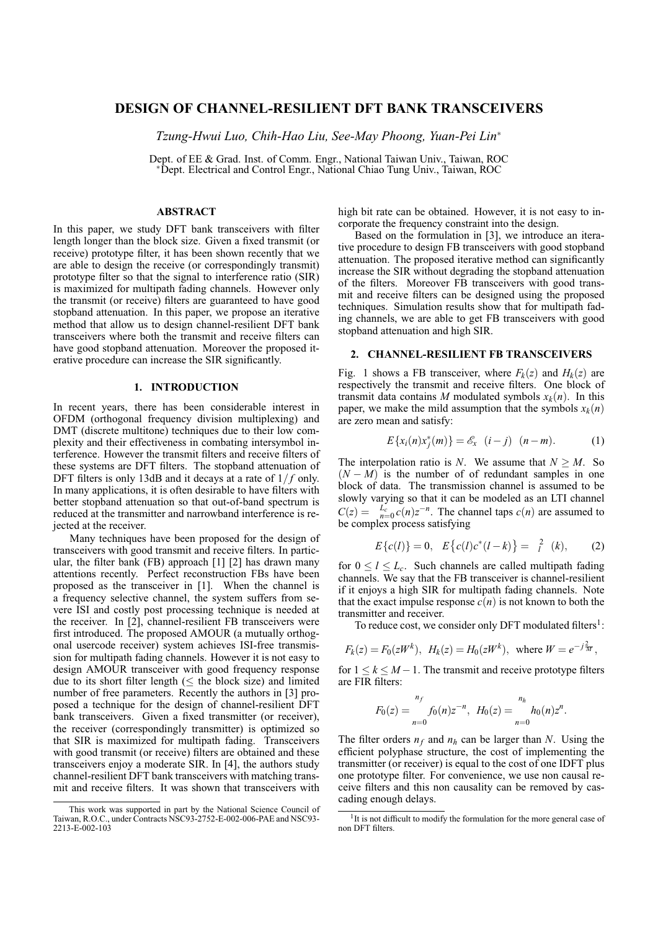# **DESIGN OF CHANNEL-RESILIENT DFT BANK TRANSCEIVERS**

*Tzung-Hwui Luo, Chih-Hao Liu, See-May Phoong, Yuan-Pei Lin*<sup>∗</sup>

Dept. of EE & Grad. Inst. of Comm. Engr., National Taiwan Univ., Taiwan, ROC <sup>∗</sup>Dept. Electrical and Control Engr., National Chiao Tung Univ., Taiwan, ROC

## **ABSTRACT**

In this paper, we study DFT bank transceivers with filter length longer than the block size. Given a fixed transmit (or receive) prototype filter, it has been shown recently that we are able to design the receive (or correspondingly transmit) prototype filter so that the signal to interference ratio (SIR) is maximized for multipath fading channels. However only the transmit (or receive) filters are guaranteed to have good stopband attenuation. In this paper, we propose an iterative method that allow us to design channel-resilient DFT bank transceivers where both the transmit and receive filters can have good stopband attenuation. Moreover the proposed iterative procedure can increase the SIR significantly.

### **1. INTRODUCTION**

In recent years, there has been considerable interest in OFDM (orthogonal frequency division multiplexing) and DMT (discrete multitone) techniques due to their low complexity and their effectiveness in combating intersymbol interference. However the transmit filters and receive filters of these systems are DFT filters. The stopband attenuation of DFT filters is only 13dB and it decays at a rate of  $1/f$  only. In many applications, it is often desirable to have filters with better stopband attenuation so that out-of-band spectrum is reduced at the transmitter and narrowband interference is rejected at the receiver.

Many techniques have been proposed for the design of transceivers with good transmit and receive filters. In particular, the filter bank (FB) approach [1] [2] has drawn many attentions recently. Perfect reconstruction FBs have been proposed as the transceiver in [1]. When the channel is a frequency selective channel, the system suffers from severe ISI and costly post processing technique is needed at the receiver. In [2], channel-resilient FB transceivers were first introduced. The proposed AMOUR (a mutually orthogonal usercode receiver) system achieves ISI-free transmission for multipath fading channels. However it is not easy to design AMOUR transceiver with good frequency response due to its short filter length ( $\leq$  the block size) and limited number of free parameters. Recently the authors in [3] proposed a technique for the design of channel-resilient DFT bank transceivers. Given a fixed transmitter (or receiver), the receiver (correspondingly transmitter) is optimized so that SIR is maximized for multipath fading. Transceivers with good transmit (or receive) filters are obtained and these transceivers enjoy a moderate SIR. In [4], the authors study channel-resilient DFT bank transceivers with matching transmit and receive filters. It was shown that transceivers with

high bit rate can be obtained. However, it is not easy to incorporate the frequency constraint into the design.

Based on the formulation in [3], we introduce an iterative procedure to design FB transceivers with good stopband attenuation. The proposed iterative method can significantly increase the SIR without degrading the stopband attenuation of the filters. Moreover FB transceivers with good transmit and receive filters can be designed using the proposed techniques. Simulation results show that for multipath fading channels, we are able to get FB transceivers with good stopband attenuation and high SIR.

## **2. CHANNEL-RESILIENT FB TRANSCEIVERS**

Fig. 1 shows a FB transceiver, where  $F_k(z)$  and  $H_k(z)$  are respectively the transmit and receive filters. One block of transmit data contains *M* modulated symbols  $x_k(n)$ . In this paper, we make the mild assumption that the symbols  $x_k(n)$ are zero mean and satisfy:

$$
E\{x_i(n)x_j^*(m)\} = \mathscr{E}_x \ (i-j) \ (n-m).
$$
 (1)

The interpolation ratio is *N*. We assume that  $N \geq M$ . So  $(N - M)$  is the number of of redundant samples in one block of data. The transmission channel is assumed to be slowly varying so that it can be modeled as an LTI channel  $C(z) = \int_{n=0}^{L_c} c(n)z^{-n}$ . The channel taps  $c(n)$  are assumed to be complex process satisfying

$$
E\{c(l)\} = 0, \quad E\{c(l)c^*(l-k)\} = \frac{2}{l} \quad (k), \tag{2}
$$

for  $0 \leq l \leq L_c$ . Such channels are called multipath fading channels. We say that the FB transceiver is channel-resilient if it enjoys a high SIR for multipath fading channels. Note that the exact impulse response  $c(n)$  is not known to both the transmitter and receiver.

To reduce cost, we consider only DFT modulated filters<sup>1</sup>:

$$
F_k(z) = F_0(zW^k)
$$
,  $H_k(z) = H_0(zW^k)$ , where  $W = e^{-j\frac{2}{M}}$ ,

for  $1 \leq k \leq M-1$ . The transmit and receive prototype filters are FIR filters:

$$
F_0(z) = \int_{n=0}^{n_f} f_0(n) z^{-n}, \ H_0(z) = \int_{n=0}^{n_h} h_0(n) z^n.
$$

The filter orders  $n_f$  and  $n_h$  can be larger than *N*. Using the efficient polyphase structure, the cost of implementing the transmitter (or receiver) is equal to the cost of one IDFT plus one prototype filter. For convenience, we use non causal receive filters and this non causality can be removed by cascading enough delays.

This work was supported in part by the National Science Council of Taiwan, R.O.C., under Contracts NSC93-2752-E-002-006-PAE and NSC93- 2213-E-002-103

<sup>&</sup>lt;sup>1</sup>It is not difficult to modify the formulation for the more general case of non DFT filters.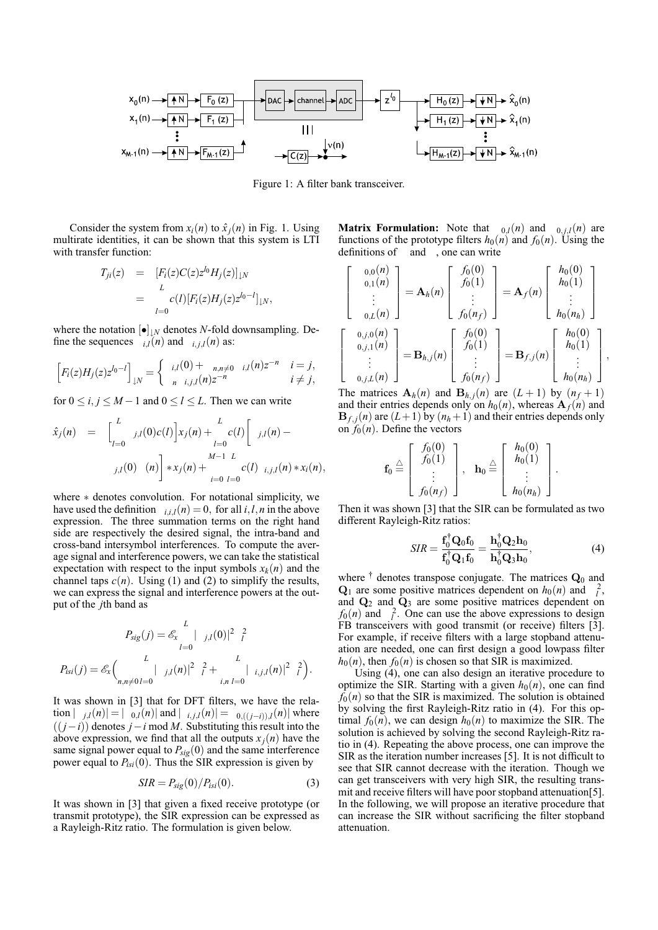

Figure 1: A filter bank transceiver.

Consider the system from  $x_i(n)$  to  $\hat{x}_i(n)$  in Fig. 1. Using multirate identities, it can be shown that this system is LTI with transfer function:

$$
T_{ji}(z) = [F_i(z)C(z)z^{l_0}H_j(z)]_{\downarrow N}
$$
  
= 
$$
{}_{l=0}^{L} c(l)[F_i(z)H_j(z)z^{l_0-l}]_{\downarrow N},
$$

where the notation  $[\bullet]_{\downarrow N}$  denotes *N*-fold downsampling. Define the sequences  $i, l(n)$  and  $i, j, l(n)$  as:

$$
\[F_i(z)H_j(z)z^{l_0-l}\]_{\downarrow N} = \begin{cases} i,l(0) + \min_{n,n \neq 0} i,l(n)z^{-n} & i = j, \\ n & i, j, (n)z^{-n} & i \neq j, \end{cases}
$$

for  $0 \le i, j \le M - 1$  and  $0 \le l \le L$ . Then we can write

$$
\hat{x}_j(n) = \left[ \begin{matrix} L \\ \vdots \\ L = 0 \end{matrix} j, l(0)c(l) \right] x_j(n) + \begin{matrix} L \\ \vdots \\ L = 0 \end{matrix} c(l) \left[ \begin{matrix} j, l(n) - \\ j, l(n) + L \end{matrix} \right]
$$
\n
$$
j, l(0) (n) \left[ \begin{matrix} M-1 & L \\ \vdots \\ k-0 & l=0 \end{matrix} \right]
$$

where ∗ denotes convolution. For notational simplicity, we have used the definition  $i_{i,i,l}(n) = 0$ , for all  $i, l, n$  in the above expression. The three summation terms on the right hand side are respectively the desired signal, the intra-band and cross-band intersymbol interferences. To compute the average signal and interference powers, we can take the statistical expectation with respect to the input symbols  $x_k(n)$  and the channel taps  $c(n)$ . Using (1) and (2) to simplify the results, we can express the signal and interference powers at the output of the *j*th band as

$$
P_{sig}(j) = \mathcal{E}_x \begin{bmatrix} L \\ | & j, l(0) |^2 \frac{2}{l} \\ | & l = 0 \end{bmatrix}
$$

$$
P_{isi}(j) = \mathcal{E}_x \begin{pmatrix} L \\ | & j, l(n) |^2 \frac{2}{l} + \frac{L}{i, n l = 0} | & i, j, l(n) |^2 \frac{2}{l} \end{pmatrix}.
$$

It was shown in [3] that for DFT filters, we have the rela- $\text{tion } |_{j,l}(n)| = |_{0,l}(n)| \text{ and } |_{i,j,l}(n)| = |_{0,((j-i)),l}(n)| \text{ where }$ ((*j*−*i*)) denotes *j*−*i* mod *M*. Substituting this result into the above expression, we find that all the outputs  $x_j(n)$  have the same signal power equal to  $P_{sig}(0)$  and the same interference power equal to  $P_{isi}(0)$ . Thus the SIR expression is given by

$$
SIR = P_{sig}(0)/P_{isi}(0). \tag{3}
$$

It was shown in [3] that given a fixed receive prototype (or transmit prototype), the SIR expression can be expressed as a Rayleigh-Ritz ratio. The formulation is given below.

**Matrix Formulation:** Note that  $_{0,l}(n)$  and  $_{0,j,l}(n)$  are functions of the prototype filters  $h_0(n)$  and  $f_0(n)$ . Using the definitions of and , one can write

$$
\begin{bmatrix}\n0,0(n) \\
0,1(n) \\
\vdots \\
0,L(n)\n\end{bmatrix} = \mathbf{A}_h(n) \begin{bmatrix}\nf_0(0) \\
f_0(1) \\
\vdots \\
f_0(n_f)\n\end{bmatrix} = \mathbf{A}_f(n) \begin{bmatrix}\nh_0(0) \\
h_0(1) \\
\vdots \\
h_0(n_h)\n\end{bmatrix}
$$
\n
$$
\begin{bmatrix}\n0,j,0(n) \\
0,j,1(n) \\
\vdots \\
0,j,L(n)\n\end{bmatrix} = \mathbf{B}_{h,j}(n) \begin{bmatrix}\nf_0(0) \\
f_0(1) \\
\vdots \\
f_0(n_f)\n\end{bmatrix} = \mathbf{B}_{f,j}(n) \begin{bmatrix}\nh_0(0) \\
h_0(1) \\
\vdots \\
h_0(n_h)\n\end{bmatrix},
$$

The matrices  $A_h(n)$  and  $B_{h,j}(n)$  are  $(L+1)$  by  $(n_f+1)$ and their entries depends only on  $h_0(n)$ , whereas  $A_f(n)$  and  $B_{f,i}(n)$  are  $(L+1)$  by  $(n_h+1)$  and their entries depends only on  $f_0(n)$ . Define the vectors

$$
\mathbf{f}_0 \stackrel{\triangle}{=} \left[ \begin{array}{c} f_0(0) \\ f_0(1) \\ \vdots \\ f_0(n_f) \end{array} \right], \quad \mathbf{h}_0 \stackrel{\triangle}{=} \left[ \begin{array}{c} h_0(0) \\ h_0(1) \\ \vdots \\ h_0(n_h) \end{array} \right]
$$

Then it was shown [3] that the SIR can be formulated as two different Rayleigh-Ritz ratios:

$$
SIR = \frac{\mathbf{f}_0^\dagger \mathbf{Q}_0 \mathbf{f}_0}{\mathbf{f}_0^\dagger \mathbf{Q}_1 \mathbf{f}_0} = \frac{\mathbf{h}_0^\dagger \mathbf{Q}_2 \mathbf{h}_0}{\mathbf{h}_0^\dagger \mathbf{Q}_3 \mathbf{h}_0},\tag{4}
$$

.

where  $\dagger$  denotes transpose conjugate. The matrices  $\mathbf{Q}_0$  and  $Q_1$  are some positive matrices dependent on  $h_0(n)$  and  $\frac{2}{l}$ , and  $Q_2$  and  $Q_3$  are some positive matrices dependent on  $f_0(n)$  and  $\frac{2}{l}$ . One can use the above expressions to design FB transceivers with good transmit (or receive) filters [3]. For example, if receive filters with a large stopband attenuation are needed, one can first design a good lowpass filter  $h_0(n)$ , then  $f_0(n)$  is chosen so that SIR is maximized.

Using (4), one can also design an iterative procedure to optimize the SIR. Starting with a given  $h_0(n)$ , one can find  $f_0(n)$  so that the SIR is maximized. The solution is obtained by solving the first Rayleigh-Ritz ratio in (4). For this optimal  $f_0(n)$ , we can design  $h_0(n)$  to maximize the SIR. The solution is achieved by solving the second Rayleigh-Ritz ratio in (4). Repeating the above process, one can improve the SIR as the iteration number increases [5]. It is not difficult to see that SIR cannot decrease with the iteration. Though we can get transceivers with very high SIR, the resulting transmit and receive filters will have poor stopband attenuation[5]. In the following, we will propose an iterative procedure that can increase the SIR without sacrificing the filter stopband attenuation.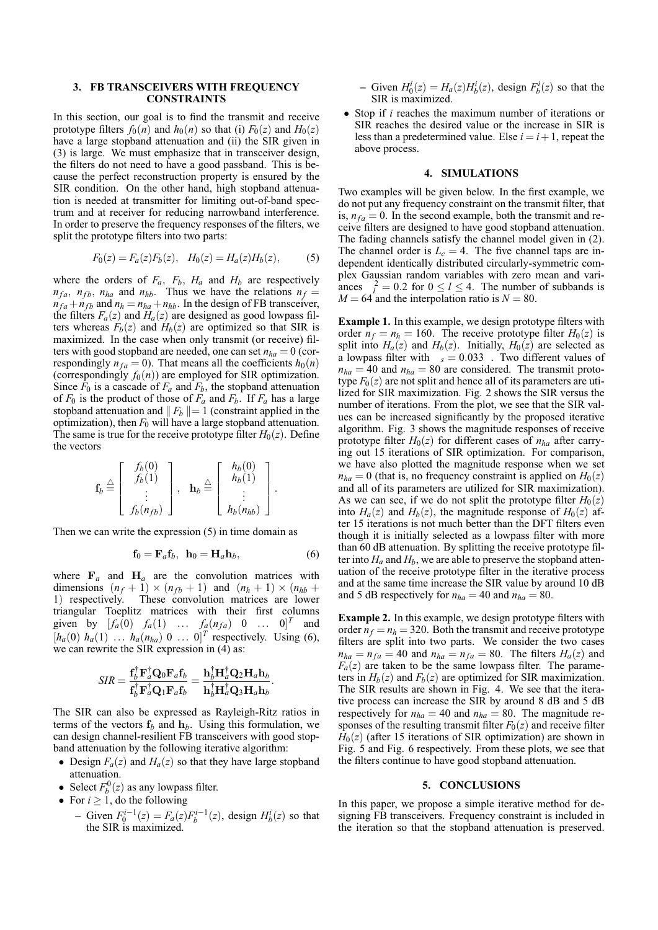## **3. FB TRANSCEIVERS WITH FREQUENCY CONSTRAINTS**

In this section, our goal is to find the transmit and receive prototype filters  $f_0(n)$  and  $h_0(n)$  so that (i)  $F_0(z)$  and  $H_0(z)$ have a large stopband attenuation and (ii) the SIR given in (3) is large. We must emphasize that in transceiver design, the filters do not need to have a good passband. This is because the perfect reconstruction property is ensured by the SIR condition. On the other hand, high stopband attenuation is needed at transmitter for limiting out-of-band spectrum and at receiver for reducing narrowband interference. In order to preserve the frequency responses of the filters, we split the prototype filters into two parts:

$$
F_0(z) = F_a(z)F_b(z), \quad H_0(z) = H_a(z)H_b(z), \tag{5}
$$

where the orders of  $F_a$ ,  $F_b$ ,  $H_a$  and  $H_b$  are respectively  $n_{fa}$ ,  $n_{fb}$ ,  $n_{ha}$  and  $n_{hb}$ . Thus we have the relations  $n_f =$  $n_{fa} + n_{fb}$  and  $n_h = n_{ha} + n_{hb}$ . In the design of FB transceiver, the filters  $F_a(z)$  and  $H_a(z)$  are designed as good lowpass filters whereas  $F_b(z)$  and  $H_b(z)$  are optimized so that SIR is maximized. In the case when only transmit (or receive) filters with good stopband are needed, one can set  $n_{ha} = 0$  (correspondingly  $n_{fa} = 0$ ). That means all the coefficients  $h_0(n)$ (correspondingly  $f_0(n)$ ) are employed for SIR optimization. Since  $F_0$  is a cascade of  $F_a$  and  $F_b$ , the stopband attenuation of  $F_0$  is the product of those of  $F_a$  and  $F_b$ . If  $F_a$  has a large stopband attenuation and  $\| F_b \| = 1$  (constraint applied in the optimization), then  $F_0$  will have a large stopband attenuation. The same is true for the receive prototype filter  $H_0(z)$ . Define the vectors

$$
\mathbf{f}_b \stackrel{\triangle}{=} \left[ \begin{array}{c} f_b(0) \\ f_b(1) \\ \vdots \\ f_b(n_{fb}) \end{array} \right], \quad \mathbf{h}_b \stackrel{\triangle}{=} \left[ \begin{array}{c} h_b(0) \\ h_b(1) \\ \vdots \\ h_b(n_{hb}) \end{array} \right].
$$

Then we can write the expression (5) in time domain as

$$
\mathbf{f}_0 = \mathbf{F}_a \mathbf{f}_b, \ \mathbf{h}_0 = \mathbf{H}_a \mathbf{h}_b,\tag{6}
$$

where  $\mathbf{F}_a$  and  $\mathbf{H}_a$  are the convolution matrices with dimensions  $(n_f + 1) \times (n_{fb} + 1)$  and  $(n_h + 1) \times (n_{hb} + 1)$ 1) respectively. These convolution matrices are lower triangular Toeplitz matrices with their first columns given by  $[f_a(0) \ f_a(1) \ \ldots \ f_a(n_{fa}) \ 0 \ \ldots \ 0]^T$  and  $[h_a(0)$   $h_a(1)$  ...  $h_a(n_{ha})$  0 ... 0]<sup>T</sup> respectively. Using (6), we can rewrite the SIR expression in  $(4)$  as:

$$
SIR = \frac{\mathbf{f}_b^{\dagger} \mathbf{F}_a^{\dagger} \mathbf{Q}_0 \mathbf{F}_a \mathbf{f}_b}{\mathbf{f}_b^{\dagger} \mathbf{F}_a^{\dagger} \mathbf{Q}_1 \mathbf{F}_a \mathbf{f}_b} = \frac{\mathbf{h}_b^{\dagger} \mathbf{H}_a^{\dagger} \mathbf{Q}_2 \mathbf{H}_a \mathbf{h}_b}{\mathbf{h}_b^{\dagger} \mathbf{H}_a^{\dagger} \mathbf{Q}_3 \mathbf{H}_a \mathbf{h}_b}.
$$

The SIR can also be expressed as Rayleigh-Ritz ratios in terms of the vectors  $f_b$  and  $h_b$ . Using this formulation, we can design channel-resilient FB transceivers with good stopband attenuation by the following iterative algorithm:

- Design  $F_a(z)$  and  $H_a(z)$  so that they have large stopband attenuation.
- Select  $F_b^0(z)$  as any lowpass filter.
- For  $i \geq 1$ , do the following
	- − Given  $F_0^{i-1}(z) = F_a(z)F_b^{i-1}(z)$ , design  $H_b^i(z)$  so that the SIR is maximized.

 $-\text{Given } H_0^i(z) = H_a(z)H_b^i(z)$ , design  $F_b^i(z)$  so that the SIR is maximized.

• Stop if *i* reaches the maximum number of iterations or SIR reaches the desired value or the increase in SIR is less than a predetermined value. Else  $i = i + 1$ , repeat the above process.

### **4. SIMULATIONS**

Two examples will be given below. In the first example, we do not put any frequency constraint on the transmit filter, that is,  $n_f = 0$ . In the second example, both the transmit and receive filters are designed to have good stopband attenuation. The fading channels satisfy the channel model given in (2). The channel order is  $L_c = 4$ . The five channel taps are independent identically distributed circularly-symmetric complex Gaussian random variables with zero mean and variances  $l = 0.2$  for  $0 \le l \le 4$ . The number of subbands is  $M = 64$  and the interpolation ratio is  $N = 80$ .

**Example 1.** In this example, we design prototype filters with order  $n_f = n_h = 160$ . The receive prototype filter  $H_0(z)$  is split into  $H_a(z)$  and  $H_b(z)$ . Initially,  $H_0(z)$  are selected as a lowpass filter with  $s = 0.033$ . Two different values of  $n_{ha} = 40$  and  $n_{ha} = 80$  are considered. The transmit prototype  $F<sub>0</sub>(z)$  are not split and hence all of its parameters are utilized for SIR maximization. Fig. 2 shows the SIR versus the number of iterations. From the plot, we see that the SIR values can be increased significantly by the proposed iterative algorithm. Fig. 3 shows the magnitude responses of receive prototype filter  $H_0(z)$  for different cases of  $n_{ha}$  after carrying out 15 iterations of SIR optimization. For comparison, we have also plotted the magnitude response when we set  $n_{ha} = 0$  (that is, no frequency constraint is applied on  $H_0(z)$ and all of its parameters are utilized for SIR maximization). As we can see, if we do not split the prototype filter  $H_0(z)$ into  $H_a(z)$  and  $H_b(z)$ , the magnitude response of  $H_0(z)$  after 15 iterations is not much better than the DFT filters even though it is initially selected as a lowpass filter with more than 60 dB attenuation. By splitting the receive prototype filter into  $H_a$  and  $H_b$ , we are able to preserve the stopband attenuation of the receive prototype filter in the iterative process and at the same time increase the SIR value by around 10 dB and 5 dB respectively for  $n_{ha} = 40$  and  $n_{ha} = 80$ .

**Example 2.** In this example, we design prototype filters with order  $n_f = n_h = 320$ . Both the transmit and receive prototype filters are split into two parts. We consider the two cases  $n_{ha} = n_{fa} = 40$  and  $n_{ha} = n_{fa} = 80$ . The filters  $H_a(z)$  and  $F_a(z)$  are taken to be the same lowpass filter. The parameters in  $H_b(z)$  and  $F_b(z)$  are optimized for SIR maximization. The SIR results are shown in Fig. 4. We see that the iterative process can increase the SIR by around 8 dB and 5 dB respectively for  $n_{ha} = 40$  and  $n_{ha} = 80$ . The magnitude responses of the resulting transmit filter  $F<sub>0</sub>(z)$  and receive filter  $H<sub>0</sub>(z)$  (after 15 iterations of SIR optimization) are shown in Fig. 5 and Fig. 6 respectively. From these plots, we see that the filters continue to have good stopband attenuation.

### **5. CONCLUSIONS**

In this paper, we propose a simple iterative method for designing FB transceivers. Frequency constraint is included in the iteration so that the stopband attenuation is preserved.